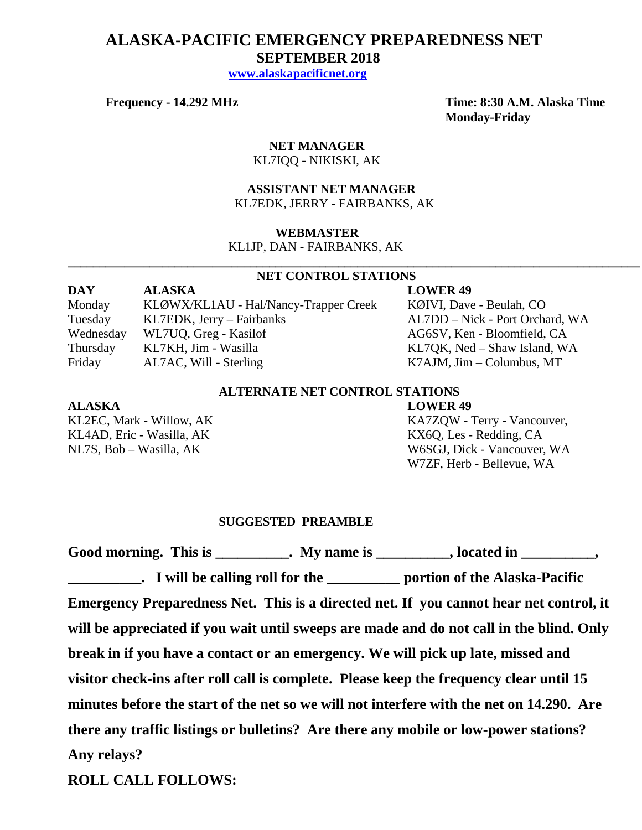# **ALASKA-PACIFIC EMERGENCY PREPAREDNESS NET SEPTEMBER 2018**

 **[www.alaskapacificnet.org](http://www.alaskapacificnet.org/)**

**Frequency - 14.292 MHz Time: 8:30 A.M. Alaska Time Monday-Friday**

## **NET MANAGER**

KL7IQQ - NIKISKI, AK

#### **ASSISTANT NET MANAGER**  KL7EDK, JERRY - FAIRBANKS, AK

#### **WEBMASTER**

KL1JP, DAN - FAIRBANKS, AK

#### **NET CONTROL STATIONS**

**\_\_\_\_\_\_\_\_\_\_\_\_\_\_\_\_\_\_\_\_\_\_\_\_\_\_\_\_\_\_\_\_\_\_\_\_\_\_\_\_\_\_\_\_\_\_\_\_\_\_\_\_\_\_\_\_\_\_\_\_\_\_\_\_\_\_\_\_\_\_\_\_\_\_\_\_\_\_\_\_\_\_\_\_\_\_\_\_\_\_\_**

| <b>DAY</b> | <b>ALASKA</b>                         | <b>LOWER 49</b>                 |
|------------|---------------------------------------|---------------------------------|
| Monday     | KLØWX/KL1AU - Hal/Nancy-Trapper Creek | KØIVI, Dave - Beulah, CO        |
| Tuesday    | KL7EDK, Jerry – Fairbanks             | AL7DD – Nick - Port Orchard, WA |
| Wednesday  | WL7UQ, Greg - Kasilof                 | AG6SV, Ken - Bloomfield, CA     |
| Thursday   | KL7KH, Jim - Wasilla                  | KL7QK, Ned – Shaw Island, WA    |
| Friday     | AL7AC, Will - Sterling                | $K7$ AJM, Jim – Columbus, MT    |

### **ALTERNATE NET CONTROL STATIONS**

#### **ALASKA LOWER 49**

KL4AD, Eric - Wasilla, AK KL4AD, Eric - Wasilla, AK

KL2EC, Mark - Willow, AK KA7ZQW - Terry - Vancouver, NL7S, Bob – Wasilla, AK W6SGJ, Dick - Vancouver, WA W7ZF, Herb - Bellevue, WA

#### **SUGGESTED PREAMBLE**

Good morning. This is \_\_\_\_\_\_\_\_\_\_. My name is \_\_\_\_\_\_\_\_\_, located in \_\_\_\_\_\_\_\_\_, **\_\_\_\_\_\_\_\_\_\_. I will be calling roll for the \_\_\_\_\_\_\_\_\_\_ portion of the Alaska-Pacific Emergency Preparedness Net. This is a directed net. If you cannot hear net control, it will be appreciated if you wait until sweeps are made and do not call in the blind. Only break in if you have a contact or an emergency. We will pick up late, missed and visitor check-ins after roll call is complete. Please keep the frequency clear until 15 minutes before the start of the net so we will not interfere with the net on 14.290. Are there any traffic listings or bulletins? Are there any mobile or low-power stations? Any relays?** 

**ROLL CALL FOLLOWS:**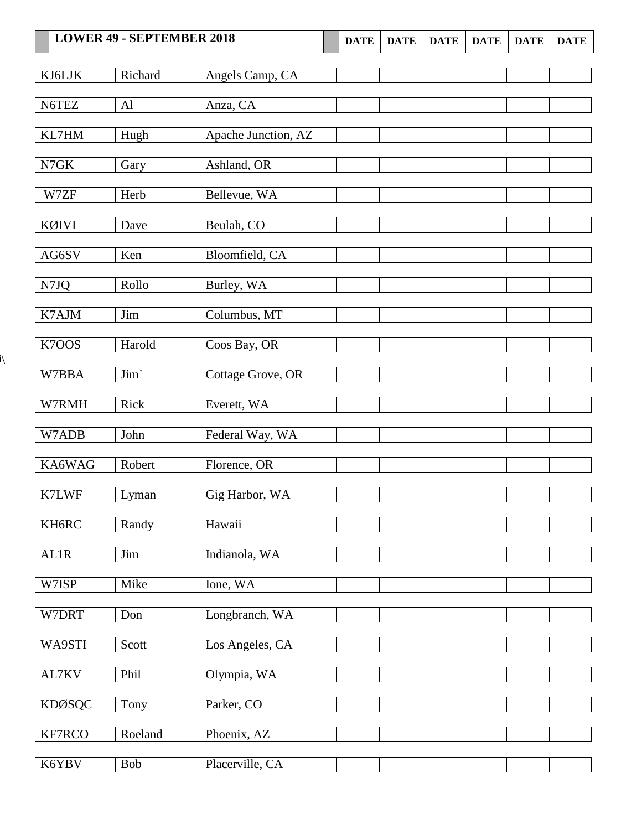| <b>LOWER 49 - SEPTEMBER 2018</b> |                | <b>DATE</b>         | <b>DATE</b> | <b>DATE</b> | <b>DATE</b> | <b>DATE</b> | <b>DATE</b> |  |
|----------------------------------|----------------|---------------------|-------------|-------------|-------------|-------------|-------------|--|
| KJ6LJK                           | Richard        | Angels Camp, CA     |             |             |             |             |             |  |
|                                  |                |                     |             |             |             |             |             |  |
| N6TEZ                            | A <sub>1</sub> | Anza, CA            |             |             |             |             |             |  |
| KL7HM                            | Hugh           | Apache Junction, AZ |             |             |             |             |             |  |
| N7GK                             | Gary           | Ashland, OR         |             |             |             |             |             |  |
| W7ZF                             | Herb           | Bellevue, WA        |             |             |             |             |             |  |
| KØIVI                            | Dave           | Beulah, CO          |             |             |             |             |             |  |
| AG6SV                            | Ken            | Bloomfield, CA      |             |             |             |             |             |  |
| N7JQ                             | Rollo          | Burley, WA          |             |             |             |             |             |  |
| K7AJM                            | Jim            | Columbus, MT        |             |             |             |             |             |  |
| K7OOS                            | Harold         | Coos Bay, OR        |             |             |             |             |             |  |
|                                  |                |                     |             |             |             |             |             |  |
| W7BBA                            | Jim'           | Cottage Grove, OR   |             |             |             |             |             |  |
| W7RMH                            | Rick           | Everett, WA         |             |             |             |             |             |  |
| W7ADB                            | John           | Federal Way, WA     |             |             |             |             |             |  |
| KA6WAG                           | Robert         | Florence, OR        |             |             |             |             |             |  |
| K7LWF                            | Lyman          | Gig Harbor, WA      |             |             |             |             |             |  |
| KH6RC                            | Randy          | Hawaii              |             |             |             |             |             |  |
| AL1R                             | Jim            | Indianola, WA       |             |             |             |             |             |  |
| W7ISP                            | Mike           | Ione, WA            |             |             |             |             |             |  |
| W7DRT                            | Don            | Longbranch, WA      |             |             |             |             |             |  |
| WA9STI                           | Scott          | Los Angeles, CA     |             |             |             |             |             |  |
| AL7KV                            | Phil           | Olympia, WA         |             |             |             |             |             |  |
|                                  |                |                     |             |             |             |             |             |  |
| <b>KDØSQC</b>                    | Tony           | Parker, CO          |             |             |             |             |             |  |
| KF7RCO                           | Roeland        | Phoenix, AZ         |             |             |             |             |             |  |
| K6YBV                            | Bob            | Placerville, CA     |             |             |             |             |             |  |

 $\tilde{\mathcal{N}}$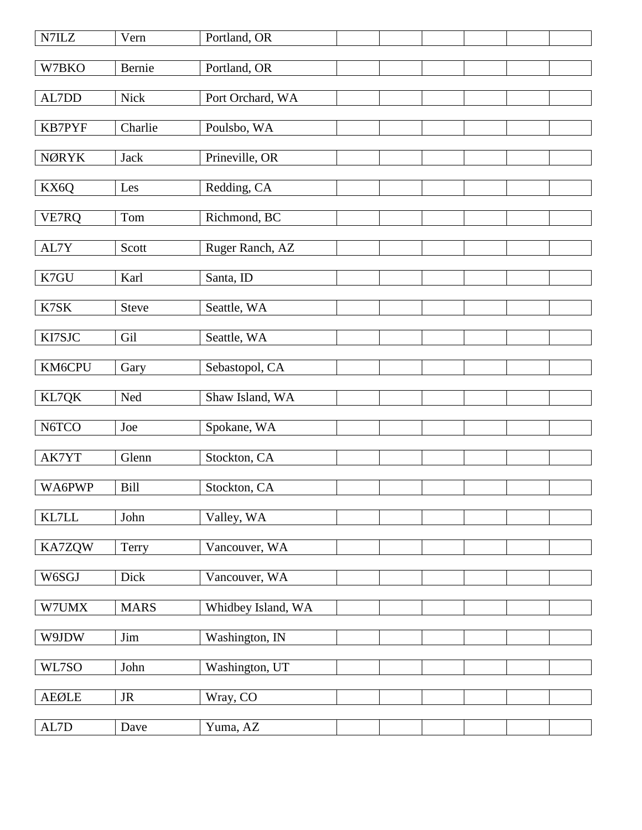| $N7ILZ$                                           | Vern         | Portland, OR       |  |  |  |
|---------------------------------------------------|--------------|--------------------|--|--|--|
| W7BKO                                             | Bernie       | Portland, OR       |  |  |  |
| AL7DD                                             | <b>Nick</b>  | Port Orchard, WA   |  |  |  |
| KB7PYF                                            | Charlie      | Poulsbo, WA        |  |  |  |
| <b>NØRYK</b>                                      | <b>Jack</b>  | Prineville, OR     |  |  |  |
| KX6Q                                              | Les          | Redding, CA        |  |  |  |
|                                                   |              |                    |  |  |  |
| VE7RQ                                             | Tom          | Richmond, BC       |  |  |  |
| AL7Y                                              | Scott        | Ruger Ranch, AZ    |  |  |  |
| K7GU                                              | Karl         | Santa, ID          |  |  |  |
| K7SK                                              | <b>Steve</b> | Seattle, WA        |  |  |  |
| KI7SJC                                            | Gil          | Seattle, WA        |  |  |  |
|                                                   |              |                    |  |  |  |
| KM6CPU                                            | Gary         | Sebastopol, CA     |  |  |  |
| KL7QK                                             | Ned          | Shaw Island, WA    |  |  |  |
| N6TCO                                             | Joe          | Spokane, WA        |  |  |  |
| AK7YT                                             | Glenn        | Stockton, CA       |  |  |  |
| WA6PWP                                            | <b>Bill</b>  | Stockton, CA       |  |  |  |
| KL7LL                                             | John         | Valley, WA         |  |  |  |
| KA7ZQW                                            | Terry        | Vancouver, WA      |  |  |  |
|                                                   |              |                    |  |  |  |
| W6SGJ                                             | Dick         | Vancouver, WA      |  |  |  |
| W7UMX                                             | <b>MARS</b>  | Whidbey Island, WA |  |  |  |
| W9JDW                                             | Jim          | Washington, IN     |  |  |  |
| WL7SO                                             | John         | Washington, UT     |  |  |  |
| ${\sf A}\mathsf{E}\mathsf{Q}\mathsf{L}\mathsf{E}$ | $\rm JR$     | Wray, CO           |  |  |  |
|                                                   |              |                    |  |  |  |
| $\mbox{AL7D}$                                     | Dave         | Yuma, AZ           |  |  |  |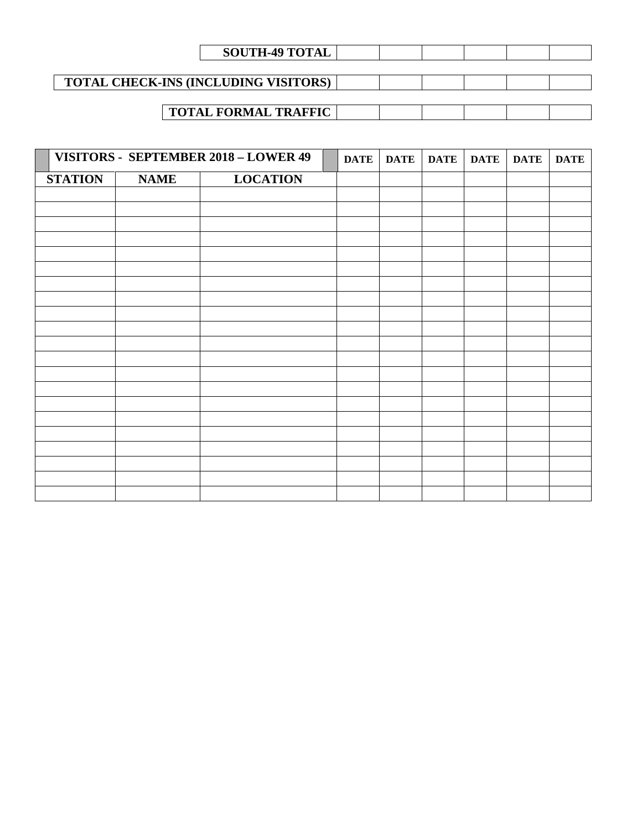| <b>SOUTH-49 TOTAL</b>                       |  |  |  |
|---------------------------------------------|--|--|--|
|                                             |  |  |  |
| <b>TOTAL CHECK-INS (INCLUDING VISITORS)</b> |  |  |  |
|                                             |  |  |  |
| <b>TOTAL FORMAL TRAFFIC</b>                 |  |  |  |

|                |             | VISITORS - SEPTEMBER 2018 - LOWER 49 | <b>DATE</b> | <b>DATE</b> | <b>DATE</b> | <b>DATE</b> | <b>DATE</b> | <b>DATE</b> |
|----------------|-------------|--------------------------------------|-------------|-------------|-------------|-------------|-------------|-------------|
| <b>STATION</b> | <b>NAME</b> | <b>LOCATION</b>                      |             |             |             |             |             |             |
|                |             |                                      |             |             |             |             |             |             |
|                |             |                                      |             |             |             |             |             |             |
|                |             |                                      |             |             |             |             |             |             |
|                |             |                                      |             |             |             |             |             |             |
|                |             |                                      |             |             |             |             |             |             |
|                |             |                                      |             |             |             |             |             |             |
|                |             |                                      |             |             |             |             |             |             |
|                |             |                                      |             |             |             |             |             |             |
|                |             |                                      |             |             |             |             |             |             |
|                |             |                                      |             |             |             |             |             |             |
|                |             |                                      |             |             |             |             |             |             |
|                |             |                                      |             |             |             |             |             |             |
|                |             |                                      |             |             |             |             |             |             |
|                |             |                                      |             |             |             |             |             |             |
|                |             |                                      |             |             |             |             |             |             |
|                |             |                                      |             |             |             |             |             |             |
|                |             |                                      |             |             |             |             |             |             |
|                |             |                                      |             |             |             |             |             |             |
|                |             |                                      |             |             |             |             |             |             |
|                |             |                                      |             |             |             |             |             |             |
|                |             |                                      |             |             |             |             |             |             |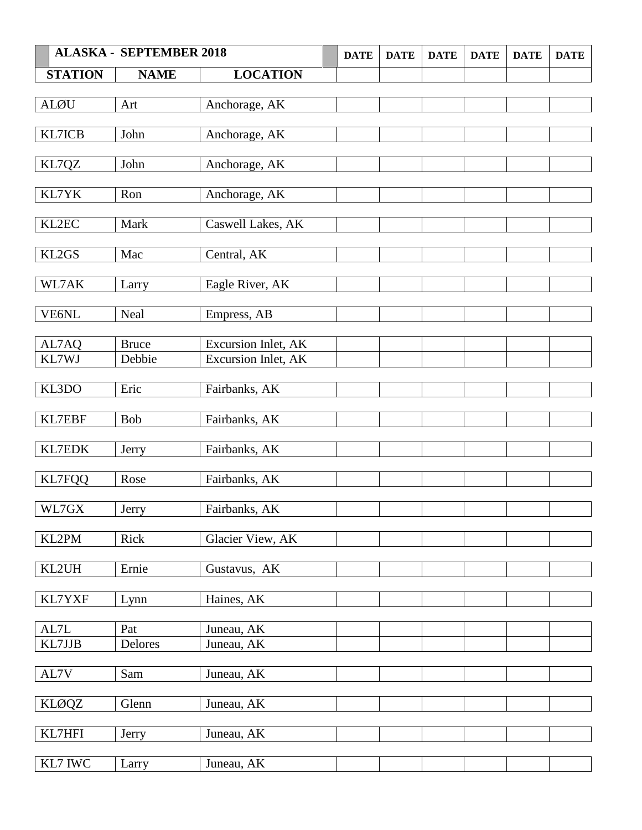|                | <b>ALASKA - SEPTEMBER 2018</b> |                            | <b>DATE</b> | <b>DATE</b> | <b>DATE</b> | <b>DATE</b> | <b>DATE</b> | <b>DATE</b> |
|----------------|--------------------------------|----------------------------|-------------|-------------|-------------|-------------|-------------|-------------|
| <b>STATION</b> | <b>NAME</b>                    | <b>LOCATION</b>            |             |             |             |             |             |             |
|                |                                |                            |             |             |             |             |             |             |
| <b>ALØU</b>    | Art                            | Anchorage, AK              |             |             |             |             |             |             |
|                |                                |                            |             |             |             |             |             |             |
| KL7ICB         | John                           | Anchorage, AK              |             |             |             |             |             |             |
|                | John                           | Anchorage, AK              |             |             |             |             |             |             |
| KL7QZ          |                                |                            |             |             |             |             |             |             |
| KL7YK          | Ron                            | Anchorage, AK              |             |             |             |             |             |             |
|                |                                |                            |             |             |             |             |             |             |
| KL2EC          | Mark                           | Caswell Lakes, AK          |             |             |             |             |             |             |
|                |                                |                            |             |             |             |             |             |             |
| KL2GS          | Mac                            | Central, AK                |             |             |             |             |             |             |
|                |                                |                            |             |             |             |             |             |             |
| WL7AK          | Larry                          | Eagle River, AK            |             |             |             |             |             |             |
| VE6NL          | Neal                           | Empress, AB                |             |             |             |             |             |             |
|                |                                |                            |             |             |             |             |             |             |
| AL7AQ          | <b>Bruce</b>                   | <b>Excursion Inlet, AK</b> |             |             |             |             |             |             |
| KL7WJ          | Debbie                         | Excursion Inlet, AK        |             |             |             |             |             |             |
|                |                                |                            |             |             |             |             |             |             |
| KL3DO          | Eric                           | Fairbanks, AK              |             |             |             |             |             |             |
|                |                                |                            |             |             |             |             |             |             |
| KL7EBF         | <b>Bob</b>                     | Fairbanks, AK              |             |             |             |             |             |             |
| KL7EDK         |                                | Fairbanks, AK              |             |             |             |             |             |             |
|                | Jerry                          |                            |             |             |             |             |             |             |
| KL7FQQ         | Rose                           | Fairbanks, AK              |             |             |             |             |             |             |
|                |                                |                            |             |             |             |             |             |             |
| WL7GX          | <b>Jerry</b>                   | Fairbanks, AK              |             |             |             |             |             |             |
|                |                                |                            |             |             |             |             |             |             |
| KL2PM          | Rick                           | Glacier View, AK           |             |             |             |             |             |             |
|                |                                |                            |             |             |             |             |             |             |
| KL2UH          | Ernie                          | Gustavus, AK               |             |             |             |             |             |             |
| KL7YXF         | Lynn                           | Haines, AK                 |             |             |             |             |             |             |
|                |                                |                            |             |             |             |             |             |             |
| AL7L           | Pat                            | Juneau, AK                 |             |             |             |             |             |             |
| KL7JJB         | Delores                        | Juneau, AK                 |             |             |             |             |             |             |
|                |                                |                            |             |             |             |             |             |             |
| AL7V           | Sam                            | Juneau, AK                 |             |             |             |             |             |             |
|                |                                |                            |             |             |             |             |             |             |
| <b>KLØQZ</b>   | Glenn                          | Juneau, AK                 |             |             |             |             |             |             |
| KL7HFI         | Jerry                          | Juneau, AK                 |             |             |             |             |             |             |
|                |                                |                            |             |             |             |             |             |             |
| KL7 IWC        | Larry                          | Juneau, AK                 |             |             |             |             |             |             |
|                |                                |                            |             |             |             |             |             |             |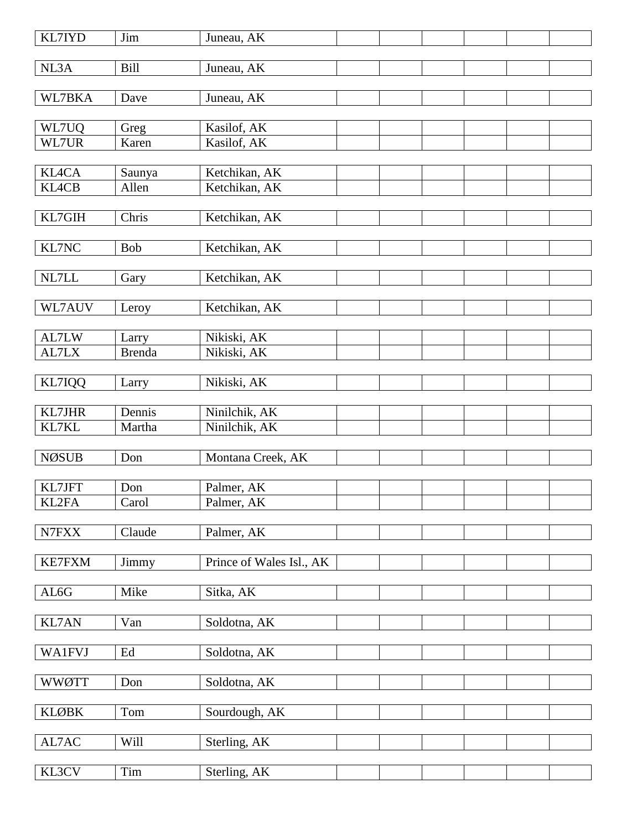| KL7IYD          | Jim           | Juneau, AK               |  |  |  |
|-----------------|---------------|--------------------------|--|--|--|
| NL3A            | <b>Bill</b>   | Juneau, AK               |  |  |  |
| WL7BKA          | Dave          | Juneau, AK               |  |  |  |
|                 |               |                          |  |  |  |
| WL7UQ           | Greg          | Kasilof, AK              |  |  |  |
| WL7UR           | Karen         | Kasilof, AK              |  |  |  |
| <b>KL4CA</b>    | Saunya        | Ketchikan, AK            |  |  |  |
| <b>KL4CB</b>    | Allen         | Ketchikan, AK            |  |  |  |
|                 |               |                          |  |  |  |
| KL7GIH          | Chris         | Ketchikan, AK            |  |  |  |
|                 |               |                          |  |  |  |
| KL7NC           | Bob           | Ketchikan, AK            |  |  |  |
| NL7LL           |               | Ketchikan, AK            |  |  |  |
|                 | Gary          |                          |  |  |  |
| WL7AUV          | Leroy         | Ketchikan, AK            |  |  |  |
|                 |               |                          |  |  |  |
| AL7LW           | Larry         | Nikiski, AK              |  |  |  |
| AL7LX           | <b>Brenda</b> | Nikiski, AK              |  |  |  |
|                 |               |                          |  |  |  |
| KL7IQQ          | Larry         | Nikiski, AK              |  |  |  |
| <b>KL7JHR</b>   | Dennis        | Ninilchik, AK            |  |  |  |
| KL7KL           | Martha        | Ninilchik, AK            |  |  |  |
|                 |               |                          |  |  |  |
| <b>NØSUB</b>    | Don           | Montana Creek, AK        |  |  |  |
|                 |               |                          |  |  |  |
| KL7JFT<br>KL2FA | Don           | Palmer, AK               |  |  |  |
|                 | Carol         | Palmer, AK               |  |  |  |
| ${\rm N7FXX}$   | Claude        | Palmer, AK               |  |  |  |
|                 |               |                          |  |  |  |
| <b>KE7FXM</b>   | Jimmy         | Prince of Wales Isl., AK |  |  |  |
|                 |               |                          |  |  |  |
| ${\rm AL6G}$    | Mike          | Sitka, AK                |  |  |  |
| <b>KL7AN</b>    | Van           | Soldotna, AK             |  |  |  |
|                 |               |                          |  |  |  |
| <b>WA1FVJ</b>   | Ed            | Soldotna, AK             |  |  |  |
|                 |               |                          |  |  |  |
| <b>WWØTT</b>    | Don           | Soldotna, AK             |  |  |  |
|                 |               |                          |  |  |  |
| <b>KLØBK</b>    | Tom           | Sourdough, AK            |  |  |  |
| $\text{AL7AC}$  | Will          | Sterling, AK             |  |  |  |
|                 |               |                          |  |  |  |
| KL3CV           | Tim           | Sterling, AK             |  |  |  |